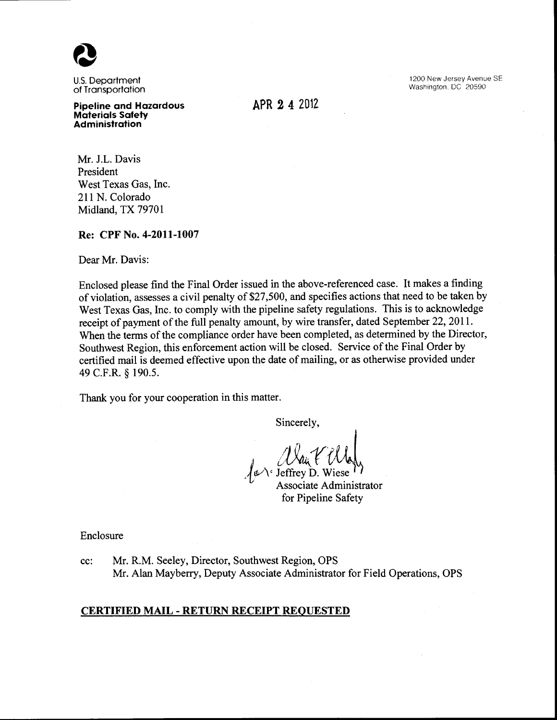

U.S. Department of Transportation

Pipeline and Hazardous Materials Safety **Administration** 

APR 2 4 2012

1200 New Jersey Avenue SE Washington. DC 20590

Mr. J.L. Davis President West Texas Gas, Inc. 211 N. Colorado Midland, TX 79701

#### Re: CPF No. 4-2011-1007

Dear Mr. Davis:

Enclosed please find the Final Order issued in the above-referenced case. It makes a finding of violation, assesses a civil penalty of \$27,500, and specifies actions that need to be taken by West Texas Gas, Inc. to comply with the pipeline safety regulations. This is to acknowledge receipt of payment of the full penalty amount, by wire transfer, dated September 22, 2011. When the terms of the compliance order have been completed, as determined by the Director, Southwest Region, this enforcement action will be closed. Service of the Final Order by certified mail is deemed effective upon the date of mailing, or as otherwise provided under 49 C.F.R. § 190.5.

Thank you for your cooperation in this matter.

Sincerely,

*Dan & Wales*  $\sqrt{\psi}$  Jeffrey D. Wiese

Associate Administrator for Pipeline Safety

Enclosure

cc: Mr. R.M. Seeley, Director, Southwest Region, OPS Mr. Alan Mayberry, Deputy Associate Administrator for Field Operations, OPS

### CERTIFIED MAIL- RETURN RECEIPT REQUESTED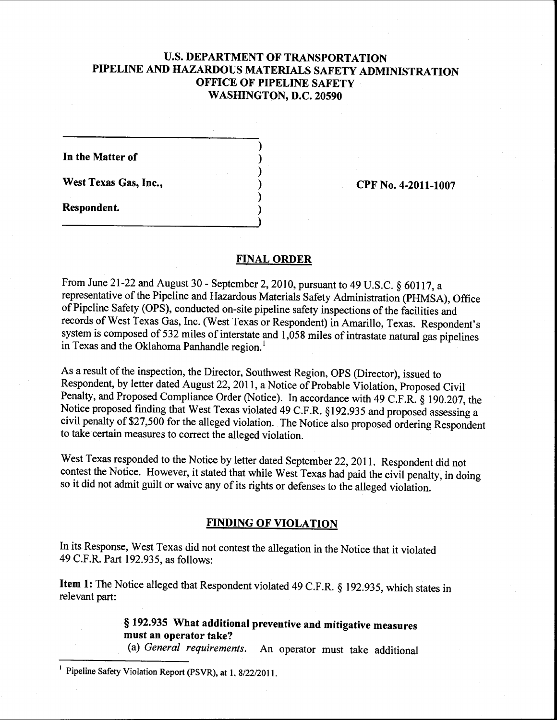# U.S. **DEPARTMENT OF TRANSPORTATION PIPELINE AND HAZARDOUS MATERIALS SAFETY ADMINISTRATION OFFICE OF PIPELINE SAFETY WASHINGTON, D.C. 20590**

) ) ) ) ) )

**In the Matter of** 

West Texas Gas, Inc., 2011-1007 **CPF No. 4-2011-1007** 

**Respondent.** 

### **FINAL ORDER**

From June 21-22 and August 30- September 2, 2010, pursuant to 49 U.S.C. § 60117, a representative of the Pipeline and Hazardous Materials Safety Administration (PHMSA), Office of Pipeline Safety (OPS), conducted on-site pipeline safety inspections of the facilities and records of West Texas Gas, Inc. (West Texas or Respondent) in Amarillo, Texas. Respondent's system is composed of 532 miles of interstate and 1,058 miles of intrastate natural gas pipelines in Texas and the Oklahoma Panhandle region.<sup>1</sup>

As a result of the inspection, the Director, Southwest Region, OPS (Director), issued to Respondent, by letter dated August 22, 2011, a Notice of Probable Violation, Proposed Civil Penalty, and Proposed Compliance Order (Notice). In accordance with 49 C.F.R. § 190.207, the Notice proposed finding that West Texas violated 49 C.F.R. §192.935 and proposed assessing a civil penalty of\$27,500 for the alleged violation. The Notice also proposed ordering Respondent to take certain measures to correct the alleged violation.

West Texas responded to the Notice by letter dated September 22,2011. Respondent did not contest the Notice. However, it stated that while West Texas had paid the civil penalty, in doing so it did not admit guilt or waive any of its rights or defenses to the alleged violation.

## **FINDING OF VIOLATION**

In its Response, West Texas did not contest the allegation in the Notice that it violated 49 C.F.R. Part 192.935, as follows:

**Item 1:** The Notice alleged that Respondent violated 49 C.F.R. § 192.935, which states in relevant part:

> § **192.935 What additional preventive and mitigative measures must an operator take?**

(a) *General requirements.* An operator must take additional

Pipeline Safety Violation Report (PSVR), at 1, 8/22/2011.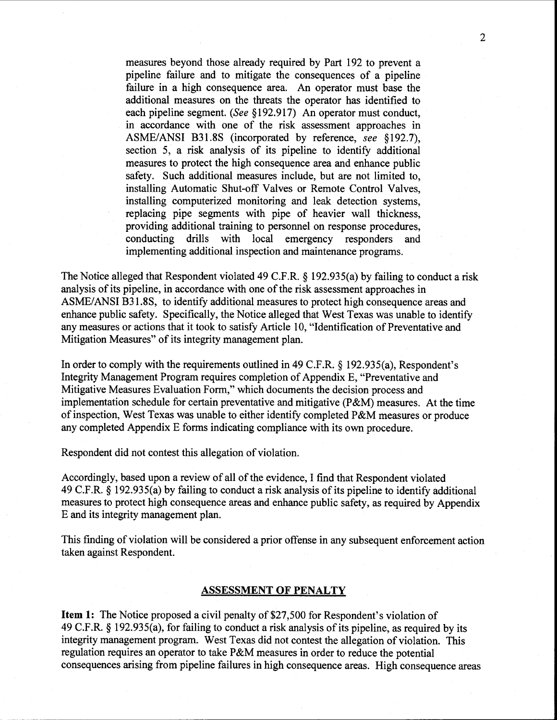measures beyond those already required by Part 192 to prevent a pipeline failure and to mitigate the consequences of a pipeline failure in a high consequence area. An operator must base the additional measures on the threats the operator has identified to each pipeline segment. *(See* §192.917) An operator must conduct, in accordance with one of the risk assessment approaches in ASME/ANSI B31.8S (incorporated by reference, *see* §192.7), section 5, a risk analysis of its pipeline to identify additional measures to protect the high consequence area and enhance public safety. Such additional measures include, but are not limited to, installing Automatic Shut-off Valves or Remote Control Valves, installing computerized monitoring and leak detection systems, replacing pipe segments with pipe of heavier wall thickness, providing additional training to personnel on response procedures, conducting drills with local emergency responders and implementing additional inspection and maintenance programs.

The Notice alleged that Respondent violated 49 C.F.R. § 192.935(a) by failing to conduct a risk analysis of its pipeline, in accordance with one of the risk assessment approaches in ASME/ANSI B31.8S, to identify additional measures to protect high consequence areas and enhance public safety. Specifically, the Notice alleged that West Texas was unable to identify any measures or actions that it took to satisfy Article 10, "Identification of Preventative and Mitigation Measures" of its integrity management plan.

In order to comply with the requirements outlined in 49 C.F.R. § 192.935(a), Respondent's Integrity Management Program requires completion of Appendix E, "Preventative and Mitigative Measures Evaluation Form," which documents the decision process and implementation schedule for certain preventative and mitigative (P&M) measures. At the time of inspection, West Texas was unable to either identify completed P&M measures or produce any completed Appendix E forms indicating compliance with its own procedure.

Respondent did not contest this allegation of violation.

Accordingly, based upon a review of all of the evidence, I find that Respondent violated 49 C.F.R. § 192.935(a) by failing to conduct a risk analysis of its pipeline to identify additional measures to protect high consequence areas and enhance public safety, as required by Appendix E and its integrity management plan.

This finding of violation will be considered a prior offense in any subsequent enforcement action taken against Respondent.

#### **ASSESSMENT OF PENALTY**

**Item 1:** The Notice proposed a civil penalty of \$27,500 for Respondent's violation of 49 C.F.R. § 192.935(a), for failing to conduct a risk analysis of its pipeline, as required by its integrity management program. West Texas did not contest the allegation of violation. This regulation requires an operator to take P&M measures in order to reduce the potential consequences arising from pipeline failures in high consequence areas. High consequence areas